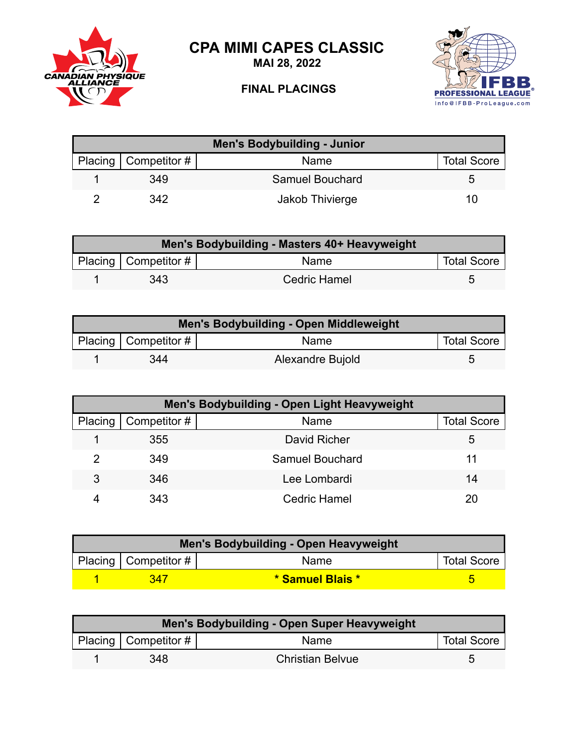**CPA MIMI CAPES CLASSIC**



**MAI 28, 2022**

## **FINAL PLACINGS**



| <b>Men's Bodybuilding - Junior</b> |                          |                 |                    |  |
|------------------------------------|--------------------------|-----------------|--------------------|--|
|                                    | Placing   Competitor $#$ | Name            | <b>Total Score</b> |  |
|                                    | 349                      | Samuel Bouchard |                    |  |
|                                    | 342                      | Jakob Thivierge | 10                 |  |

| Men's Bodybuilding - Masters 40+ Heavyweight |                        |                     |                    |  |
|----------------------------------------------|------------------------|---------------------|--------------------|--|
|                                              | Placing   Competitor # | Name                | <b>Total Score</b> |  |
|                                              | 343                    | <b>Cedric Hamel</b> | ∽                  |  |

| Men's Bodybuilding - Open Middleweight |                          |                  |                    |  |
|----------------------------------------|--------------------------|------------------|--------------------|--|
|                                        | Placing   Competitor $#$ | <b>Name</b>      | <b>Total Score</b> |  |
|                                        | 344                      | Alexandre Bujold |                    |  |

| Men's Bodybuilding - Open Light Heavyweight |                        |                     |                    |  |
|---------------------------------------------|------------------------|---------------------|--------------------|--|
|                                             | Placing   Competitor # | Name                | <b>Total Score</b> |  |
|                                             | 355                    | David Richer        | 5                  |  |
| 2                                           | 349                    | Samuel Bouchard     | 11                 |  |
| 3                                           | 346                    | Lee Lombardi        | 14                 |  |
|                                             | 343                    | <b>Cedric Hamel</b> | 20                 |  |

| Men's Bodybuilding - Open Heavyweight |                                     |                  |  |  |
|---------------------------------------|-------------------------------------|------------------|--|--|
|                                       | Placing   Competitor $\#$  <br>Name |                  |  |  |
|                                       | 347                                 | * Samuel Blais * |  |  |

| <b>Men's Bodybuilding - Open Super Heavyweight</b> |                           |                         |                    |  |
|----------------------------------------------------|---------------------------|-------------------------|--------------------|--|
|                                                    | Placing   Competitor $\#$ | <b>Name</b>             | <b>Total Score</b> |  |
|                                                    | 348                       | <b>Christian Belvue</b> | G                  |  |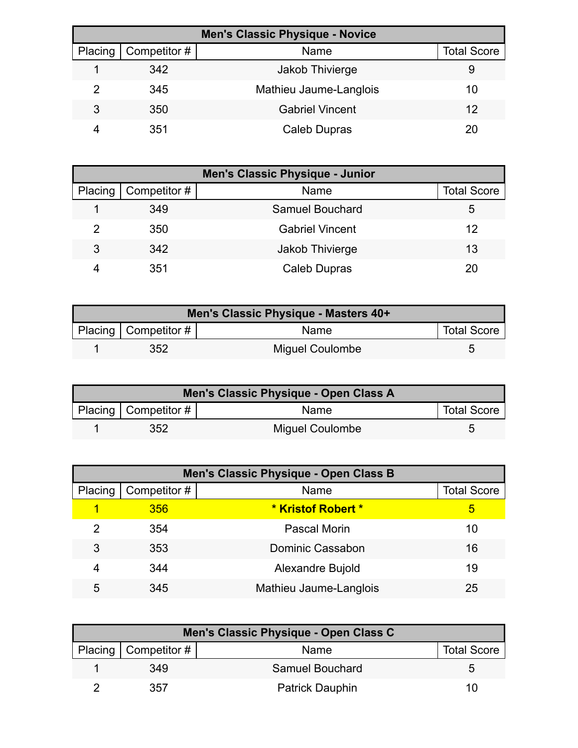| <b>Men's Classic Physique - Novice</b> |              |                        |                    |  |
|----------------------------------------|--------------|------------------------|--------------------|--|
| Placing                                | Competitor # | Name                   | <b>Total Score</b> |  |
|                                        | 342          | Jakob Thivierge        | 9                  |  |
|                                        | 345          | Mathieu Jaume-Langlois | 10                 |  |
| 3                                      | 350          | <b>Gabriel Vincent</b> | 12                 |  |
|                                        | 351          | Caleb Dupras           | 20                 |  |

| <b>Men's Classic Physique - Junior</b> |                              |                        |                    |  |
|----------------------------------------|------------------------------|------------------------|--------------------|--|
|                                        | Placing $\vert$ Competitor # | Name                   | <b>Total Score</b> |  |
|                                        | 349                          | Samuel Bouchard        | 5                  |  |
| 2                                      | 350                          | <b>Gabriel Vincent</b> | 12                 |  |
| 3                                      | 342                          | Jakob Thivierge        | 13                 |  |
|                                        | 351                          | Caleb Dupras           | 20                 |  |

| Men's Classic Physique - Masters 40+ |                          |                 |                    |  |
|--------------------------------------|--------------------------|-----------------|--------------------|--|
|                                      | Placing   Competitor $#$ | Name            | <b>Total Score</b> |  |
|                                      | 352                      | Miguel Coulombe |                    |  |

| Men's Classic Physique - Open Class A |                          |                        |                    |  |
|---------------------------------------|--------------------------|------------------------|--------------------|--|
|                                       | Placing   Competitor $#$ | <b>Name</b>            | <b>Total Score</b> |  |
|                                       | 352                      | <b>Miguel Coulombe</b> |                    |  |

| Men's Classic Physique - Open Class B |              |                           |                    |  |
|---------------------------------------|--------------|---------------------------|--------------------|--|
| Placing                               | Competitor # | Name                      | <b>Total Score</b> |  |
|                                       | 356          | <b>* Kristof Robert *</b> | 5                  |  |
| 2                                     | 354          | Pascal Morin              | 10                 |  |
| 3                                     | 353          | <b>Dominic Cassabon</b>   | 16                 |  |
| 4                                     | 344          | Alexandre Bujold          | 19                 |  |
| 5                                     | 345          | Mathieu Jaume-Langlois    | 25                 |  |

| Men's Classic Physique - Open Class C |                        |                        |                    |  |
|---------------------------------------|------------------------|------------------------|--------------------|--|
|                                       | Placing   Competitor # | Name                   | <b>Total Score</b> |  |
|                                       | 349                    | Samuel Bouchard        | h                  |  |
|                                       | 357                    | <b>Patrick Dauphin</b> | 10                 |  |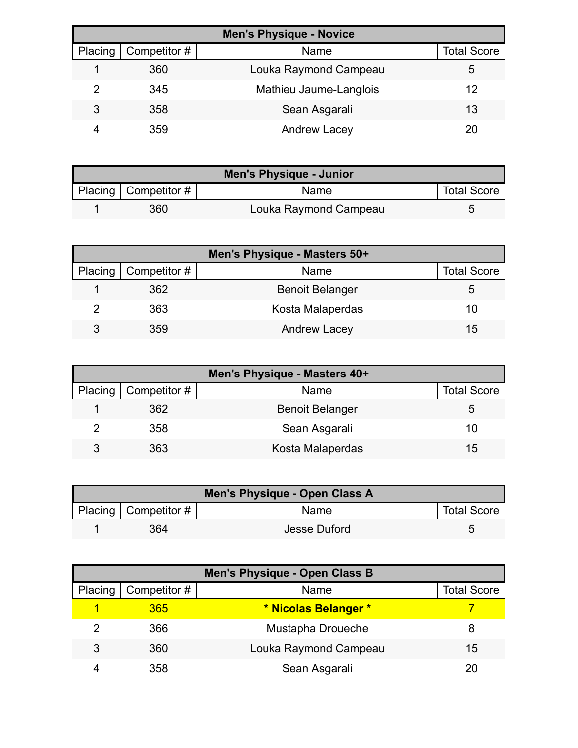| <b>Men's Physique - Novice</b> |              |                        |                    |
|--------------------------------|--------------|------------------------|--------------------|
| Placing                        | Competitor # | Name                   | <b>Total Score</b> |
|                                | 360          | Louka Raymond Campeau  | 5                  |
|                                | 345          | Mathieu Jaume-Langlois | 12                 |
| 3                              | 358          | Sean Asgarali          | 13                 |
|                                | 359          | <b>Andrew Lacey</b>    | 20                 |

| <b>Men's Physique - Junior</b> |                          |                       |                    |
|--------------------------------|--------------------------|-----------------------|--------------------|
|                                | Placing   Competitor $#$ | Name                  | <b>Total Score</b> |
|                                | 360                      | Louka Raymond Campeau |                    |

| Men's Physique - Masters 50+ |                        |                        |                    |  |
|------------------------------|------------------------|------------------------|--------------------|--|
|                              | Placing   Competitor # | Name                   | <b>Total Score</b> |  |
|                              | 362                    | <b>Benoit Belanger</b> | 5.                 |  |
|                              | 363                    | Kosta Malaperdas       | 10                 |  |
| 3                            | 359                    | <b>Andrew Lacey</b>    | 15                 |  |

| Men's Physique - Masters 40+ |                        |                        |                    |
|------------------------------|------------------------|------------------------|--------------------|
|                              | Placing   Competitor # | Name                   | <b>Total Score</b> |
|                              | 362                    | <b>Benoit Belanger</b> | 5.                 |
|                              | 358                    | Sean Asgarali          | 10                 |
| 3                            | 363                    | Kosta Malaperdas       | 15                 |

| Men's Physique - Open Class A |                                 |              |                    |  |
|-------------------------------|---------------------------------|--------------|--------------------|--|
|                               | <b>Placing   Competitor #  </b> | Name         | <b>Total Score</b> |  |
|                               | 364                             | Jesse Duford |                    |  |

| Men's Physique - Open Class B |              |                       |                    |  |
|-------------------------------|--------------|-----------------------|--------------------|--|
| Placing                       | Competitor # | Name                  | <b>Total Score</b> |  |
|                               | 365          | * Nicolas Belanger *  |                    |  |
| 2                             | 366          | Mustapha Droueche     |                    |  |
| 3                             | 360          | Louka Raymond Campeau | 15                 |  |
|                               | 358          | Sean Asgarali         |                    |  |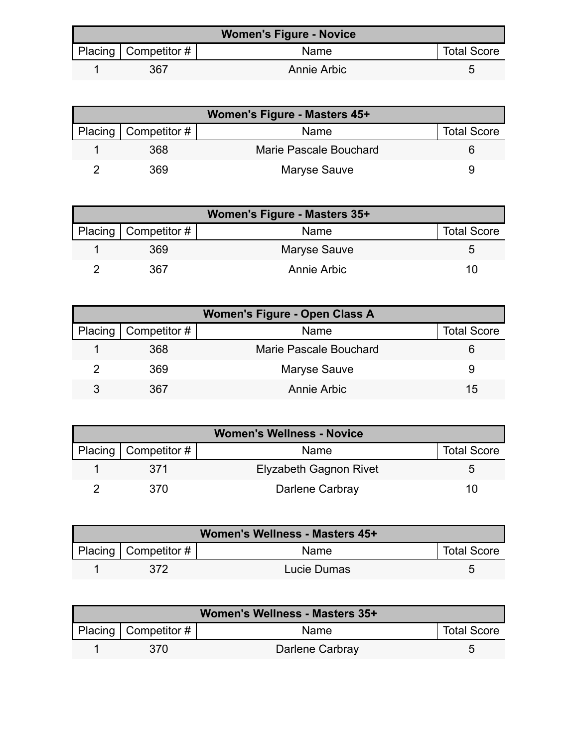| <b>Women's Figure - Novice</b> |                        |             |                    |  |
|--------------------------------|------------------------|-------------|--------------------|--|
|                                | Placing   Competitor # | Name        | <b>Total Score</b> |  |
|                                | 367                    | Annie Arbic |                    |  |

| Women's Figure - Masters 45+ |                        |                        |                    |
|------------------------------|------------------------|------------------------|--------------------|
|                              | Placing   Competitor # | <b>Name</b>            | <b>Total Score</b> |
|                              | 368                    | Marie Pascale Bouchard |                    |
|                              | 369                    | Maryse Sauve           |                    |

| <b>Women's Figure - Masters 35+</b> |              |                    |  |  |
|-------------------------------------|--------------|--------------------|--|--|
| Placing   Competitor #              | Name         | <b>Total Score</b> |  |  |
| 369                                 | Maryse Sauve | G                  |  |  |
| 367                                 | Annie Arbic  | 10                 |  |  |

| <b>Women's Figure - Open Class A</b> |                              |                        |                    |  |
|--------------------------------------|------------------------------|------------------------|--------------------|--|
|                                      | Placing $\vert$ Competitor # | Name                   | <b>Total Score</b> |  |
|                                      | 368                          | Marie Pascale Bouchard |                    |  |
|                                      | 369                          | Maryse Sauve           |                    |  |
|                                      | 367                          | Annie Arbic            | 15                 |  |

| <b>Women's Wellness - Novice</b> |                        |                               |                    |
|----------------------------------|------------------------|-------------------------------|--------------------|
|                                  | Placing   Competitor # | Name                          | <b>Total Score</b> |
|                                  | 371                    | <b>Elyzabeth Gagnon Rivet</b> |                    |
|                                  | 370                    | Darlene Carbray               |                    |

| Women's Wellness - Masters 45+ |                        |             |                    |  |
|--------------------------------|------------------------|-------------|--------------------|--|
|                                | Placing   Competitor # | Name        | <b>Total Score</b> |  |
|                                | 372                    | Lucie Dumas |                    |  |

| Women's Wellness - Masters 35+ |                        |                 |                    |  |
|--------------------------------|------------------------|-----------------|--------------------|--|
|                                | Placing   Competitor # | Name            | <b>Total Score</b> |  |
|                                | 370                    | Darlene Carbray | 5                  |  |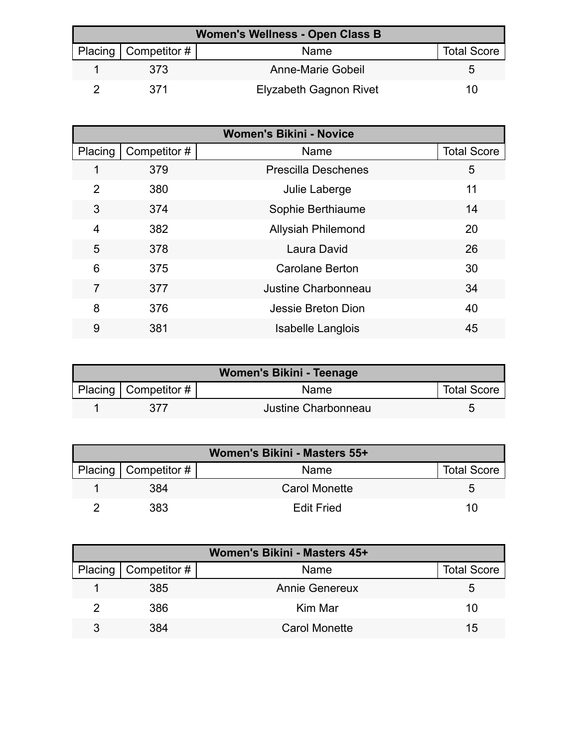| Women's Wellness - Open Class B |                          |                        |                    |  |
|---------------------------------|--------------------------|------------------------|--------------------|--|
|                                 | Placing   Competitor $#$ | Name                   | <b>Total Score</b> |  |
|                                 | 373                      | Anne-Marie Gobeil      |                    |  |
|                                 | 371                      | Elyzabeth Gagnon Rivet | 10                 |  |

|                | <b>Women's Bikini - Novice</b> |                            |                    |  |
|----------------|--------------------------------|----------------------------|--------------------|--|
| Placing        | Competitor #                   | Name                       | <b>Total Score</b> |  |
|                | 379                            | <b>Prescilla Deschenes</b> | 5                  |  |
| $\overline{2}$ | 380                            | Julie Laberge              | 11                 |  |
| 3              | 374                            | Sophie Berthiaume          | 14                 |  |
| $\overline{4}$ | 382                            | <b>Allysiah Philemond</b>  | 20                 |  |
| 5              | 378                            | Laura David                | 26                 |  |
| 6              | 375                            | <b>Carolane Berton</b>     | 30                 |  |
| 7              | 377                            | Justine Charbonneau        | 34                 |  |
| 8              | 376                            | Jessie Breton Dion         | 40                 |  |
| 9              | 381                            | <b>Isabelle Langlois</b>   | 45                 |  |

| <b>Women's Bikini - Teenage</b> |                        |                     |                    |  |
|---------------------------------|------------------------|---------------------|--------------------|--|
|                                 | Placing   Competitor # | <b>Name</b>         | <b>Total Score</b> |  |
|                                 | 377                    | Justine Charbonneau |                    |  |

| Women's Bikini - Masters 55+ |                        |                      |                    |  |
|------------------------------|------------------------|----------------------|--------------------|--|
|                              | Placing   Competitor # | Name                 | <b>Total Score</b> |  |
|                              | 384                    | <b>Carol Monette</b> | <sup>t</sup>       |  |
|                              | 383                    | <b>Edit Fried</b>    | 10                 |  |

| Women's Bikini - Masters 45+ |                        |                       |                    |  |
|------------------------------|------------------------|-----------------------|--------------------|--|
|                              | Placing   Competitor # | Name                  | <b>Total Score</b> |  |
|                              | 385                    | <b>Annie Genereux</b> | 5                  |  |
|                              | 386                    | Kim Mar               | 10                 |  |
|                              | 384                    | <b>Carol Monette</b>  | 15                 |  |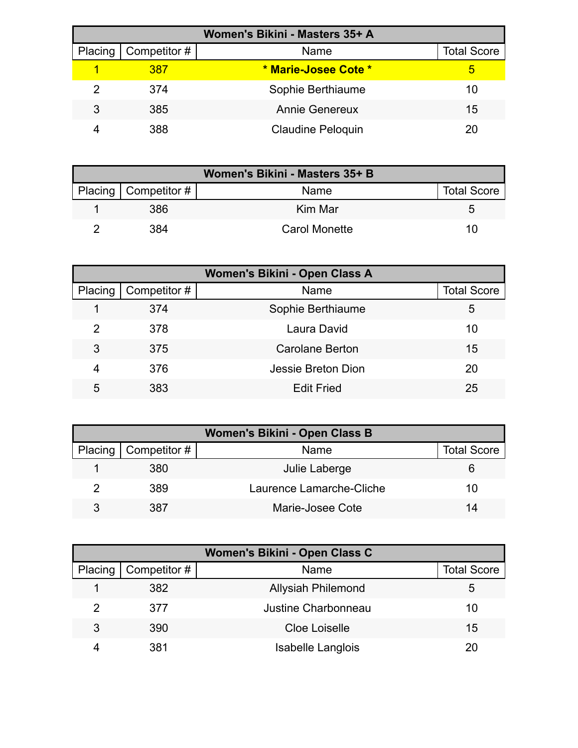| Women's Bikini - Masters 35+ A |              |                          |                    |  |
|--------------------------------|--------------|--------------------------|--------------------|--|
| Placing                        | Competitor # | Name                     | <b>Total Score</b> |  |
|                                | 387          | * Marie-Josee Cote *     | ь                  |  |
|                                | 374          | Sophie Berthiaume        | 10                 |  |
| 3                              | 385          | <b>Annie Genereux</b>    | 15                 |  |
|                                | 388          | <b>Claudine Peloquin</b> | 20                 |  |

| Women's Bikini - Masters 35+ B |                        |                      |                    |
|--------------------------------|------------------------|----------------------|--------------------|
|                                | Placing   Competitor # | Name                 | <b>Total Score</b> |
|                                | 386                    | Kim Mar              |                    |
|                                | 384                    | <b>Carol Monette</b> | 10                 |

| Women's Bikini - Open Class A |              |                    |                    |  |
|-------------------------------|--------------|--------------------|--------------------|--|
| Placing                       | Competitor # | Name               | <b>Total Score</b> |  |
|                               | 374          | Sophie Berthiaume  | 5                  |  |
| 2                             | 378          | Laura David        | 10                 |  |
| 3                             | 375          | Carolane Berton    | 15                 |  |
| 4                             | 376          | Jessie Breton Dion | 20                 |  |
| 5                             | 383          | <b>Edit Fried</b>  | 25                 |  |

| Women's Bikini - Open Class B |                        |                          |                    |  |
|-------------------------------|------------------------|--------------------------|--------------------|--|
|                               | Placing   Competitor # | Name                     | <b>Total Score</b> |  |
|                               | 380                    | Julie Laberge            |                    |  |
|                               | 389                    | Laurence Lamarche-Cliche | 10                 |  |
| ર                             | 387                    | Marie-Josee Cote         | 14                 |  |

| Women's Bikini - Open Class C |              |                           |                    |  |
|-------------------------------|--------------|---------------------------|--------------------|--|
| Placing                       | Competitor # | Name                      | <b>Total Score</b> |  |
|                               | 382          | <b>Allysiah Philemond</b> | 5                  |  |
|                               | 377          | Justine Charbonneau       | 10                 |  |
| 3                             | 390          | Cloe Loiselle             | 15                 |  |
|                               | 381          | <b>Isabelle Langlois</b>  | 20                 |  |